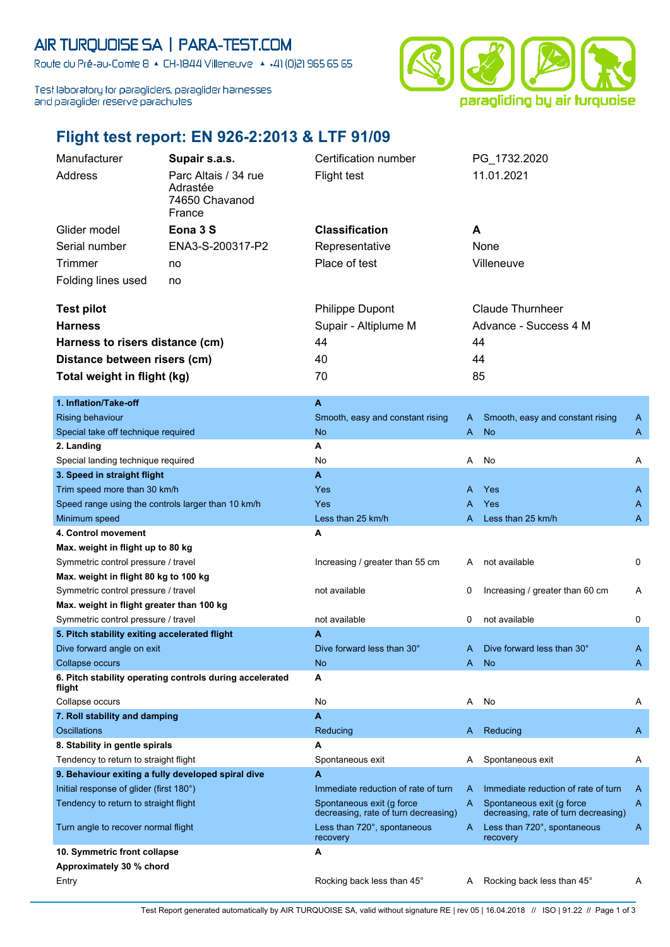## AIR TURQUOISE SA | PARA-TEST.COM

Route du Pré-au-Comte 8 & CH-1844 Villeneuve | 4 +41 (0)21 965 65 65

Test laboratory for paragliders, paraglider harnesses and paraglider reserve parachutes



## **Flight test report: EN 926-2:2013 & LTF 91/09**

| Manufacturer                                       | Supair s.a.s.                                            | Certification number                                              |     | PG_1732.2020                                                      |   |
|----------------------------------------------------|----------------------------------------------------------|-------------------------------------------------------------------|-----|-------------------------------------------------------------------|---|
| Address                                            | Parc Altais / 34 rue                                     | <b>Flight test</b>                                                |     | 11.01.2021                                                        |   |
|                                                    | Adrastée                                                 |                                                                   |     |                                                                   |   |
|                                                    | 74650 Chavanod                                           |                                                                   |     |                                                                   |   |
|                                                    | France                                                   |                                                                   |     |                                                                   |   |
| Glider model                                       | Eona 3 S                                                 | <b>Classification</b>                                             | A   |                                                                   |   |
| Serial number                                      | ENA3-S-200317-P2                                         | Representative                                                    |     | None                                                              |   |
| <b>Trimmer</b>                                     | no                                                       | Place of test                                                     |     | Villeneuve                                                        |   |
| Folding lines used                                 | no                                                       |                                                                   |     |                                                                   |   |
|                                                    |                                                          |                                                                   |     |                                                                   |   |
| <b>Test pilot</b>                                  |                                                          | <b>Philippe Dupont</b>                                            |     | Claude Thurnheer                                                  |   |
| <b>Harness</b>                                     |                                                          | Supair - Altiplume M                                              |     | Advance - Success 4 M                                             |   |
| Harness to risers distance (cm)                    |                                                          | 44                                                                |     | 44                                                                |   |
| Distance between risers (cm)                       |                                                          | 40                                                                |     | 44                                                                |   |
|                                                    |                                                          | 70                                                                |     | 85                                                                |   |
| Total weight in flight (kg)                        |                                                          |                                                                   |     |                                                                   |   |
| 1. Inflation/Take-off                              |                                                          | A                                                                 |     |                                                                   |   |
| <b>Rising behaviour</b>                            |                                                          | Smooth, easy and constant rising                                  | A   | Smooth, easy and constant rising                                  | A |
| Special take off technique required                |                                                          | <b>No</b>                                                         | A   | <b>No</b>                                                         | A |
| 2. Landing                                         |                                                          | Α                                                                 |     |                                                                   |   |
| Special landing technique required                 |                                                          | No                                                                | A   | No                                                                | Α |
| 3. Speed in straight flight                        |                                                          | A                                                                 |     |                                                                   |   |
| Trim speed more than 30 km/h                       |                                                          | Yes                                                               | A   | Yes                                                               | A |
| Speed range using the controls larger than 10 km/h |                                                          | Yes                                                               | A   | Yes                                                               | A |
| Minimum speed                                      |                                                          | Less than 25 km/h                                                 | A   | Less than 25 km/h                                                 | A |
| 4. Control movement                                |                                                          | A                                                                 |     |                                                                   |   |
| Max. weight in flight up to 80 kg                  |                                                          |                                                                   |     |                                                                   |   |
| Symmetric control pressure / travel                |                                                          | Increasing / greater than 55 cm                                   | A   | not available                                                     | 0 |
| Max. weight in flight 80 kg to 100 kg              |                                                          |                                                                   |     |                                                                   |   |
| Symmetric control pressure / travel                |                                                          | not available                                                     | 0   | Increasing / greater than 60 cm                                   | A |
| Max. weight in flight greater than 100 kg          |                                                          |                                                                   |     |                                                                   |   |
| Symmetric control pressure / travel                |                                                          | not available                                                     | 0   | not available                                                     | 0 |
| 5. Pitch stability exiting accelerated flight      |                                                          | A                                                                 |     |                                                                   |   |
| Dive forward angle on exit                         |                                                          | Dive forward less than 30°                                        | A   | Dive forward less than 30°                                        | A |
| Collapse occurs                                    |                                                          | No                                                                | A i | <b>No</b>                                                         | A |
| flight                                             | 6. Pitch stability operating controls during accelerated | А                                                                 |     |                                                                   |   |
| Collapse occurs                                    |                                                          | No                                                                | Α   | No                                                                | A |
| 7. Roll stability and damping                      |                                                          | A                                                                 |     |                                                                   |   |
| <b>Oscillations</b>                                |                                                          | Reducing                                                          | A   | Reducing                                                          | A |
| 8. Stability in gentle spirals                     |                                                          | Α                                                                 |     |                                                                   |   |
| Tendency to return to straight flight              |                                                          | Spontaneous exit                                                  | A   | Spontaneous exit                                                  | A |
| 9. Behaviour exiting a fully developed spiral dive |                                                          | А                                                                 |     |                                                                   |   |
| Initial response of glider (first 180°)            |                                                          | Immediate reduction of rate of turn                               | A   | Immediate reduction of rate of turn                               | A |
| Tendency to return to straight flight              |                                                          | Spontaneous exit (g force<br>decreasing, rate of turn decreasing) | A   | Spontaneous exit (g force<br>decreasing, rate of turn decreasing) | A |
| Turn angle to recover normal flight                |                                                          | Less than 720°, spontaneous                                       | A   | Less than 720°, spontaneous                                       | A |
|                                                    |                                                          | recovery                                                          |     | recovery                                                          |   |
| 10. Symmetric front collapse                       |                                                          | A                                                                 |     |                                                                   |   |
| Approximately 30 % chord                           |                                                          |                                                                   |     |                                                                   |   |
| Entry                                              |                                                          | Rocking back less than 45°                                        | A   | Rocking back less than 45°                                        | A |

Test Report generated automatically by AIR TURQUOISE SA, valid without signature RE | rev 05 | 16.04.2018 // ISO | 91.22 // Page 1 of 3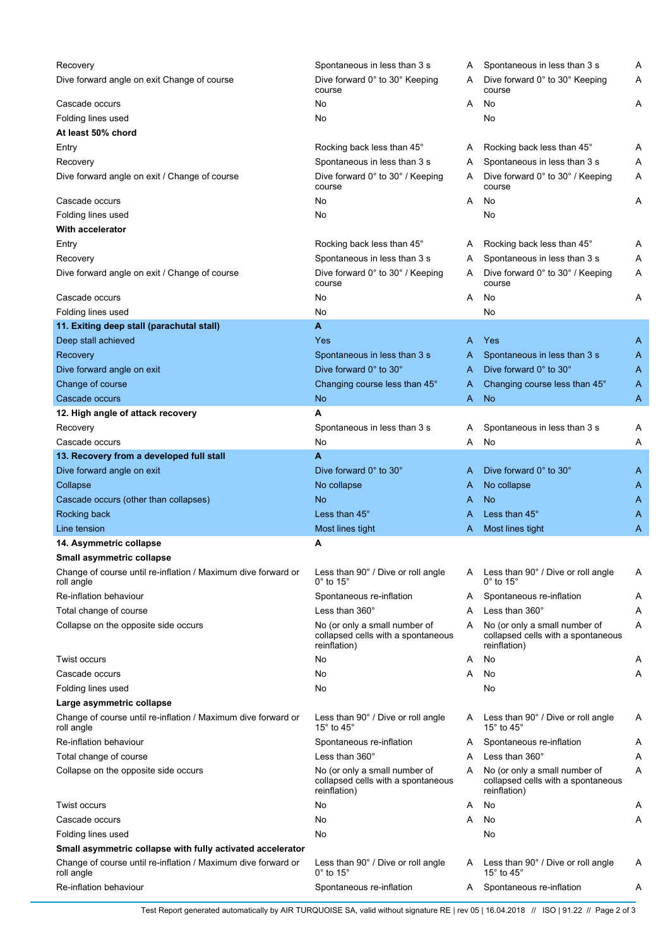| Recovery                                                                    | Spontaneous in less than 3 s                                                        | Α | Spontaneous in less than 3 s                                                        | Α |
|-----------------------------------------------------------------------------|-------------------------------------------------------------------------------------|---|-------------------------------------------------------------------------------------|---|
| Dive forward angle on exit Change of course                                 | Dive forward 0° to 30° Keeping<br>course                                            | A | Dive forward 0° to 30° Keeping<br>course                                            | A |
| Cascade occurs                                                              | No                                                                                  | A | No                                                                                  | Α |
| Folding lines used                                                          | No                                                                                  |   | No                                                                                  |   |
| At least 50% chord                                                          |                                                                                     |   |                                                                                     |   |
| Entry                                                                       | Rocking back less than 45°                                                          | A | Rocking back less than 45°                                                          | A |
| Recovery                                                                    | Spontaneous in less than 3 s                                                        | A | Spontaneous in less than 3 s                                                        | Α |
| Dive forward angle on exit / Change of course                               | Dive forward 0° to 30° / Keeping<br>course                                          | A | Dive forward 0° to 30° / Keeping<br>course                                          | Α |
| Cascade occurs                                                              | No                                                                                  | A | No                                                                                  | Α |
| Folding lines used                                                          | No                                                                                  |   | No                                                                                  |   |
| <b>With accelerator</b>                                                     |                                                                                     |   |                                                                                     |   |
| Entry                                                                       | Rocking back less than 45°                                                          | A | Rocking back less than 45°                                                          | Α |
| Recovery                                                                    | Spontaneous in less than 3 s                                                        | A | Spontaneous in less than 3 s                                                        | Α |
| Dive forward angle on exit / Change of course                               | Dive forward 0° to 30° / Keeping<br>course                                          | A | Dive forward 0° to 30° / Keeping<br>course                                          | Α |
| Cascade occurs                                                              | No                                                                                  | A | No                                                                                  | Α |
| Folding lines used                                                          | No                                                                                  |   | No                                                                                  |   |
| 11. Exiting deep stall (parachutal stall)                                   | A                                                                                   |   |                                                                                     |   |
| Deep stall achieved                                                         | Yes                                                                                 | A | Yes                                                                                 | A |
| Recovery                                                                    | Spontaneous in less than 3 s                                                        | A | Spontaneous in less than 3 s                                                        | A |
| Dive forward angle on exit                                                  | Dive forward 0° to 30°                                                              | A | Dive forward 0° to 30°                                                              | A |
| Change of course                                                            | Changing course less than 45°                                                       | A | Changing course less than 45°                                                       | A |
| Cascade occurs                                                              | <b>No</b>                                                                           | A | <b>No</b>                                                                           | A |
| 12. High angle of attack recovery                                           | A                                                                                   |   |                                                                                     |   |
|                                                                             |                                                                                     |   |                                                                                     |   |
| Recovery                                                                    | Spontaneous in less than 3 s                                                        | Α | Spontaneous in less than 3 s                                                        | Α |
| Cascade occurs                                                              | No                                                                                  | Α | No                                                                                  | Α |
| 13. Recovery from a developed full stall                                    | A                                                                                   |   |                                                                                     |   |
| Dive forward angle on exit                                                  | Dive forward 0° to 30°                                                              | A | Dive forward 0° to 30°                                                              | A |
| Collapse                                                                    | No collapse                                                                         | A | No collapse                                                                         | A |
| Cascade occurs (other than collapses)                                       | <b>No</b>                                                                           | A | <b>No</b>                                                                           | A |
| Rocking back                                                                | Less than 45°                                                                       | A | Less than 45°                                                                       | A |
| Line tension                                                                | Most lines tight                                                                    | A | Most lines tight                                                                    | A |
| 14. Asymmetric collapse                                                     | A                                                                                   |   |                                                                                     |   |
| Small asymmetric collapse                                                   |                                                                                     |   |                                                                                     |   |
| Change of course until re-inflation / Maximum dive forward or<br>roll angle | Less than 90° / Dive or roll angle<br>$0^\circ$ to 15 $^\circ$                      | A | Less than 90° / Dive or roll angle<br>$0^\circ$ to 15 $^\circ$                      | Α |
| Re-inflation behaviour                                                      | Spontaneous re-inflation                                                            | A | Spontaneous re-inflation                                                            | Α |
| Total change of course                                                      | Less than $360^\circ$                                                               | Α | Less than 360°                                                                      | Α |
| Collapse on the opposite side occurs                                        | No (or only a small number of<br>collapsed cells with a spontaneous<br>reinflation) | A | No (or only a small number of<br>collapsed cells with a spontaneous<br>reinflation) | Α |
| Twist occurs                                                                | No                                                                                  | Α | No                                                                                  | Α |
| Cascade occurs                                                              | No                                                                                  | Α | No                                                                                  | Α |
| Folding lines used                                                          | No                                                                                  |   | No                                                                                  |   |
| Large asymmetric collapse                                                   |                                                                                     |   |                                                                                     |   |
| Change of course until re-inflation / Maximum dive forward or<br>roll angle | Less than 90° / Dive or roll angle<br>15° to 45°                                    | A | Less than 90° / Dive or roll angle<br>15° to 45°                                    | Α |
| Re-inflation behaviour                                                      | Spontaneous re-inflation                                                            | A | Spontaneous re-inflation                                                            | A |
| Total change of course                                                      | Less than 360°                                                                      | Α | Less than 360°                                                                      | Α |
| Collapse on the opposite side occurs                                        | No (or only a small number of<br>collapsed cells with a spontaneous<br>reinflation) | A | No (or only a small number of<br>collapsed cells with a spontaneous<br>reinflation) | Α |
| Twist occurs                                                                | No                                                                                  | Α | No                                                                                  | Α |
| Cascade occurs                                                              | No                                                                                  | Α | No                                                                                  | Α |
| Folding lines used                                                          | No                                                                                  |   | No                                                                                  |   |
| Small asymmetric collapse with fully activated accelerator                  |                                                                                     |   |                                                                                     |   |
| Change of course until re-inflation / Maximum dive forward or<br>roll angle | Less than 90° / Dive or roll angle<br>$0^\circ$ to 15 $^\circ$                      | A | Less than 90° / Dive or roll angle<br>15 $\degree$ to 45 $\degree$                  | Α |
| Re-inflation behaviour                                                      | Spontaneous re-inflation                                                            | A | Spontaneous re-inflation                                                            | A |

Test Report generated automatically by AIR TURQUOISE SA, valid without signature RE | rev 05 | 16.04.2018 // ISO | 91.22 // Page 2 of 3